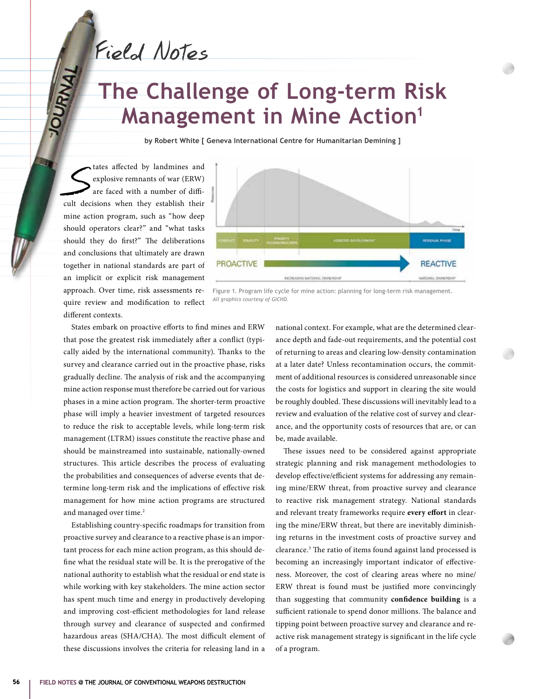Field Notes

# **The Challenge of Long-term Risk Management in Mine Action<sup>1</sup>**

**by Robert White [ Geneva International Centre for Humanitarian Demining ]**

tates affected by landmines and<br>
explosive remnants of war (ERW)<br>
are faced with a number of diffi-<br>
cult decisions when they establish their explosive remnants of war (ERW) are faced with a number of diffimine action program, such as "how deep should operators clear?" and "what tasks should they do first?" The deliberations and conclusions that ultimately are drawn together in national standards are part of an implicit or explicit risk management approach. Over time, risk assessments require review and modification to reflect different contexts.



Figure 1. Program life cycle for mine action: planning for long-term risk management. *All graphics courtesy of GICHD.*

States embark on proactive efforts to find mines and ERW that pose the greatest risk immediately after a conflict (typically aided by the international community). Thanks to the survey and clearance carried out in the proactive phase, risks gradually decline. The analysis of risk and the accompanying mine action response must therefore be carried out for various phases in a mine action program. The shorter-term proactive phase will imply a heavier investment of targeted resources to reduce the risk to acceptable levels, while long-term risk management (LTRM) issues constitute the reactive phase and should be mainstreamed into sustainable, nationally-owned structures. This article describes the process of evaluating the probabilities and consequences of adverse events that determine long-term risk and the implications of effective risk management for how mine action programs are structured and managed over time.<sup>2</sup>

Establishing country-specific roadmaps for transition from proactive survey and clearance to a reactive phase is an important process for each mine action program, as this should define what the residual state will be. It is the prerogative of the national authority to establish what the residual or end state is while working with key stakeholders. The mine action sector has spent much time and energy in productively developing and improving cost-efficient methodologies for land release through survey and clearance of suspected and confirmed hazardous areas (SHA/CHA). The most difficult element of these discussions involves the criteria for releasing land in a

national context. For example, what are the determined clearance depth and fade-out requirements, and the potential cost of returning to areas and clearing low-density contamination at a later date? Unless recontamination occurs, the commitment of additional resources is considered unreasonable since the costs for logistics and support in clearing the site would be roughly doubled. These discussions will inevitably lead to a review and evaluation of the relative cost of survey and clearance, and the opportunity costs of resources that are, or can be, made available.

These issues need to be considered against appropriate strategic planning and risk management methodologies to develop effective/efficient systems for addressing any remaining mine/ERW threat, from proactive survey and clearance to reactive risk management strategy. National standards and relevant treaty frameworks require **every effort** in clearing the mine/ERW threat, but there are inevitably diminishing returns in the investment costs of proactive survey and clearance.3 The ratio of items found against land processed is becoming an increasingly important indicator of effectiveness. Moreover, the cost of clearing areas where no mine/ ERW threat is found must be justified more convincingly than suggesting that community **confidence building** is a sufficient rationale to spend donor millions. The balance and tipping point between proactive survey and clearance and reactive risk management strategy is significant in the life cycle of a program.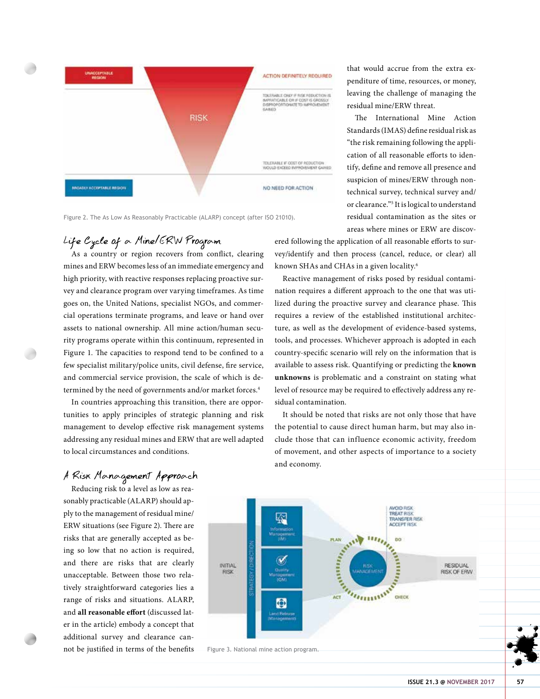

Figure 2. The As Low As Reasonably Practicable (ALARP) concept (after ISO 21010).

## Life Cycle of a Mine/ERW Program

As a country or region recovers from conflict, clearing mines and ERW becomes less of an immediate emergency and high priority, with reactive responses replacing proactive survey and clearance program over varying timeframes. As time goes on, the United Nations, specialist NGOs, and commercial operations terminate programs, and leave or hand over assets to national ownership. All mine action/human security programs operate within this continuum, represented in Figure 1. The capacities to respond tend to be confined to a few specialist military/police units, civil defense, fire service, and commercial service provision, the scale of which is determined by the need of governments and/or market forces.<sup>4</sup>

In countries approaching this transition, there are opportunities to apply principles of strategic planning and risk management to develop effective risk management systems addressing any residual mines and ERW that are well adapted to local circumstances and conditions.

that would accrue from the extra expenditure of time, resources, or money, leaving the challenge of managing the residual mine/ERW threat.

The International Mine Action Standards (IMAS) define residual risk as "the risk remaining following the application of all reasonable efforts to identify, define and remove all presence and suspicion of mines/ERW through nontechnical survey, technical survey and/ or clearance."5 It is logical to understand residual contamination as the sites or areas where mines or ERW are discov-

ered following the application of all reasonable efforts to survey/identify and then process (cancel, reduce, or clear) all known SHAs and CHAs in a given locality.6

Reactive management of risks posed by residual contamination requires a different approach to the one that was utilized during the proactive survey and clearance phase. This requires a review of the established institutional architecture, as well as the development of evidence-based systems, tools, and processes. Whichever approach is adopted in each country-specific scenario will rely on the information that is available to assess risk. Quantifying or predicting the **known unknowns** is problematic and a constraint on stating what level of resource may be required to effectively address any residual contamination.

It should be noted that risks are not only those that have the potential to cause direct human harm, but may also include those that can influence economic activity, freedom of movement, and other aspects of importance to a society and economy.



A Risk Management Approach

sonably practicable (ALARP) should apply to the management of residual mine/ ERW situations (see Figure 2). There are risks that are generally accepted as being so low that no action is required, and there are risks that are clearly unacceptable. Between those two relatively straightforward categories lies a range of risks and situations. ALARP, and **all reasonable effort** (discussed later in the article) embody a concept that additional survey and clearance cannot be justified in terms of the benefits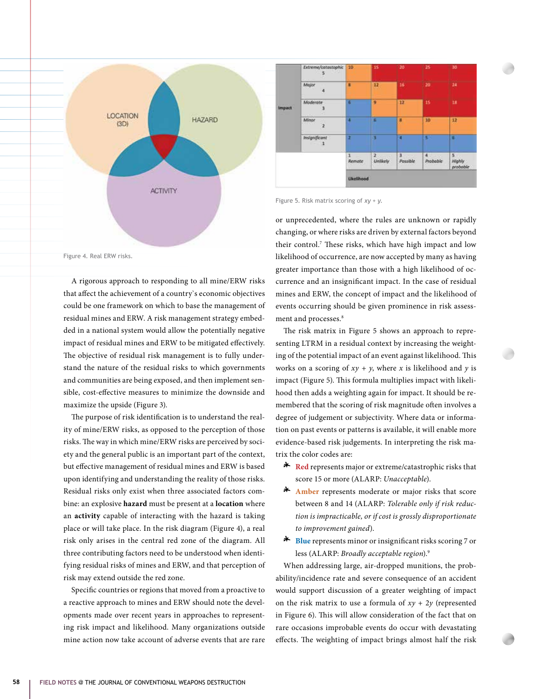





Figure 5. Risk matrix scoring of *xy + y.*

or unprecedented, where the rules are unknown or rapidly changing, or where risks are driven by external factors beyond their control.7 These risks, which have high impact and low likelihood of occurrence, are now accepted by many as having greater importance than those with a high likelihood of occurrence and an insignificant impact. In the case of residual mines and ERW, the concept of impact and the likelihood of events occurring should be given prominence in risk assessment and processes.<sup>8</sup>

The risk matrix in Figure 5 shows an approach to representing LTRM in a residual context by increasing the weighting of the potential impact of an event against likelihood. This works on a scoring of  $xy + y$ , where x is likelihood and y is impact (Figure 5). This formula multiplies impact with likelihood then adds a weighting again for impact. It should be remembered that the scoring of risk magnitude often involves a degree of judgement or subjectivity. Where data or information on past events or patterns is available, it will enable more evidence-based risk judgements. In interpreting the risk matrix the color codes are:

- \* **Red** represents major or extreme/catastrophic risks that score 15 or more (ALARP: *Unacceptable*).
- \* **Amber** represents moderate or major risks that score between 8 and 14 (ALARP: *Tolerable only if risk reduction is impracticable, or if cost is grossly disproportionate to improvement gained*).
- \* **Blue** represents minor or insignificant risks scoring 7 or less (ALARP: *Broadly acceptable region*).9

When addressing large, air-dropped munitions, the probability/incidence rate and severe consequence of an accident would support discussion of a greater weighting of impact on the risk matrix to use a formula of  $xy + 2y$  (represented in Figure 6). This will allow consideration of the fact that on rare occasions improbable events do occur with devastating effects. The weighting of impact brings almost half the risk

Figure 4. Real ERW risks.

A rigorous approach to responding to all mine/ERW risks that affect the achievement of a country`s economic objectives could be one framework on which to base the management of residual mines and ERW. A risk management strategy embedded in a national system would allow the potentially negative impact of residual mines and ERW to be mitigated effectively. The objective of residual risk management is to fully understand the nature of the residual risks to which governments and communities are being exposed, and then implement sensible, cost-effective measures to minimize the downside and maximize the upside (Figure 3).

The purpose of risk identification is to understand the reality of mine/ERW risks, as opposed to the perception of those risks. The way in which mine/ERW risks are perceived by society and the general public is an important part of the context, but effective management of residual mines and ERW is based upon identifying and understanding the reality of those risks. Residual risks only exist when three associated factors combine: an explosive **hazard** must be present at a **location** where an **activity** capable of interacting with the hazard is taking place or will take place. In the risk diagram (Figure 4), a real risk only arises in the central red zone of the diagram. All three contributing factors need to be understood when identifying residual risks of mines and ERW, and that perception of risk may extend outside the red zone.

Specific countries or regions that moved from a proactive to a reactive approach to mines and ERW should note the developments made over recent years in approaches to representing risk impact and likelihood. Many organizations outside mine action now take account of adverse events that are rare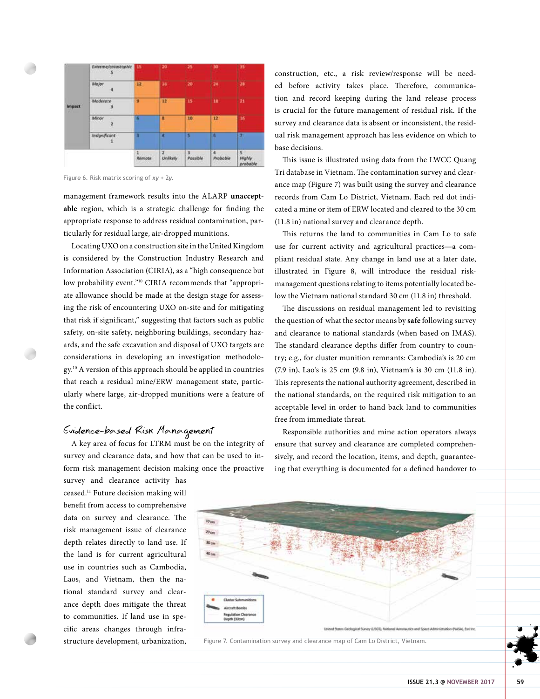| Impact | Extreme/catastophic<br>- 5<br><b>ATTACHE</b> | 15     | 20            | 25            | 30            | 35                          |
|--------|----------------------------------------------|--------|---------------|---------------|---------------|-----------------------------|
|        | Major                                        | 12     | 36            | 20            | 24            | 28                          |
|        | Moderate<br>3                                | ø      | 12            | 15            | in            | 21                          |
|        | <b>COLOR</b><br>Minor<br>2                   |        | п             | 10            | 12            | Ħ                           |
|        | <b>Insignificant</b><br>1                    | Ū      | п             |               | ø             | Ŧ.                          |
|        |                                              | Remode | 2<br>Unlikely | x<br>Possible | a<br>Probable | $5 -$<br>Mighly<br>probable |

Figure 6. Risk matrix scoring of *xy* + 2*y*.

management framework results into the ALARP **unacceptable** region, which is a strategic challenge for finding the appropriate response to address residual contamination, particularly for residual large, air-dropped munitions.

Locating UXO on a construction site in the United Kingdom is considered by the Construction Industry Research and Information Association (CIRIA), as a "high consequence but low probability event."10 CIRIA recommends that "appropriate allowance should be made at the design stage for assessing the risk of encountering UXO on-site and for mitigating that risk if significant," suggesting that factors such as public safety, on-site safety, neighboring buildings, secondary hazards, and the safe excavation and disposal of UXO targets are considerations in developing an investigation methodology.10 A version of this approach should be applied in countries that reach a residual mine/ERW management state, particularly where large, air-dropped munitions were a feature of the conflict.

## Evidence-based Risk Management

A key area of focus for LTRM must be on the integrity of survey and clearance data, and how that can be used to inform risk management decision making once the proactive

survey and clearance activity has ceased.11 Future decision making will benefit from access to comprehensive data on survey and clearance. The risk management issue of clearance depth relates directly to land use. If the land is for current agricultural use in countries such as Cambodia, Laos, and Vietnam, then the national standard survey and clearance depth does mitigate the threat to communities. If land use in specific areas changes through infrastructure development, urbanization, construction, etc., a risk review/response will be needed before activity takes place. Therefore, communication and record keeping during the land release process is crucial for the future management of residual risk. If the survey and clearance data is absent or inconsistent, the residual risk management approach has less evidence on which to base decisions.

This issue is illustrated using data from the LWCC Quang Tri database in Vietnam. The contamination survey and clearance map (Figure 7) was built using the survey and clearance records from Cam Lo District, Vietnam. Each red dot indicated a mine or item of ERW located and cleared to the 30 cm (11.8 in) national survey and clearance depth.

This returns the land to communities in Cam Lo to safe use for current activity and agricultural practices—a compliant residual state. Any change in land use at a later date, illustrated in Figure 8, will introduce the residual riskmanagement questions relating to items potentially located below the Vietnam national standard 30 cm (11.8 in) threshold.

The discussions on residual management led to revisiting the question of what the sector means by **safe** following survey and clearance to national standards (when based on IMAS). The standard clearance depths differ from country to country; e.g., for cluster munition remnants: Cambodia's is 20 cm (7.9 in), Lao's is 25 cm (9.8 in), Vietnam's is 30 cm (11.8 in). This represents the national authority agreement, described in the national standards, on the required risk mitigation to an acceptable level in order to hand back land to communities free from immediate threat.

Responsible authorities and mine action operators always ensure that survey and clearance are completed comprehensively, and record the location, items, and depth, guaranteeing that everything is documented for a defined handover to